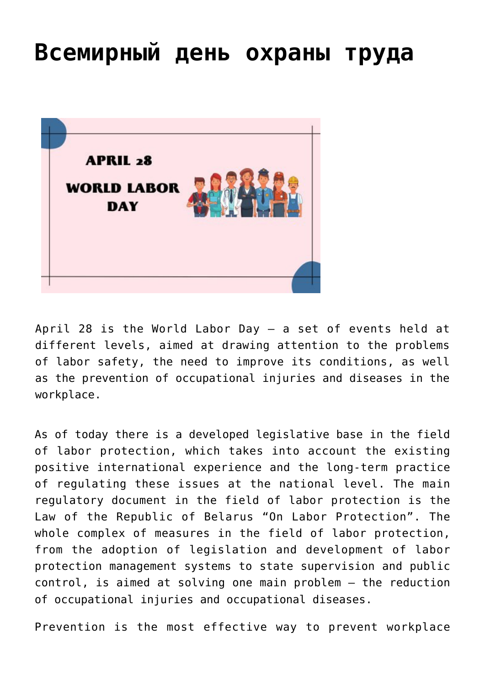## **[Всемирный день охраны труда](https://ztem.by/en/news-and-media/news-2022-04-28-3/)**



April 28 is the World Labor Day – a set of events held at different levels, aimed at drawing attention to the problems of labor safety, the need to improve its conditions, as well as the prevention of occupational injuries and diseases in the workplace.

As of today there is a developed legislative base in the field of labor protection, which takes into account the existing positive international experience and the long-term practice of regulating these issues at the national level. The main regulatory document in the field of labor protection is the Law of the Republic of Belarus "On Labor Protection". The whole complex of measures in the field of labor protection, from the adoption of legislation and development of labor protection management systems to state supervision and public control, is aimed at solving one main problem – the reduction of occupational injuries and occupational diseases.

Prevention is the most effective way to prevent workplace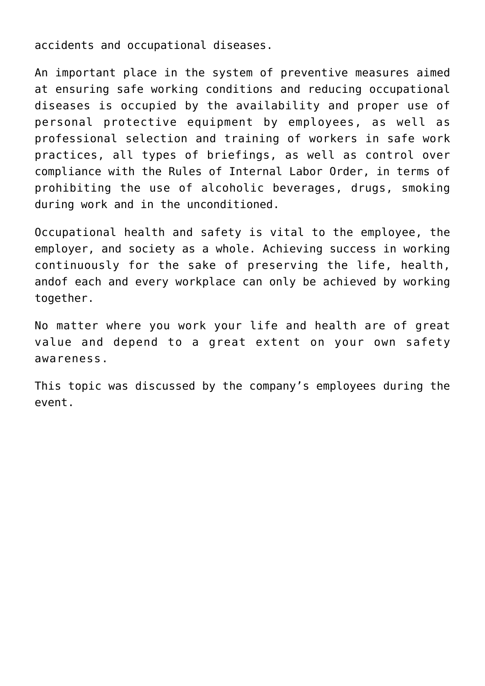accidents and occupational diseases.

An important place in the system of preventive measures aimed at ensuring safe working conditions and reducing occupational diseases is occupied by the availability and proper use of personal protective equipment by employees, as well as professional selection and training of workers in safe work practices, all types of briefings, as well as control over compliance with the Rules of Internal Labor Order, in terms of prohibiting the use of alcoholic beverages, drugs, smoking during work and in the unconditioned.

Occupational health and safety is vital to the employee, the employer, and society as a whole. Achieving success in working continuously for the sake of preserving the life, health, andof each and every workplace can only be achieved by working together.

No matter where you work your life and health are of great value and depend to a great extent on your own safety awareness.

This topic was discussed by the company's employees during the event.